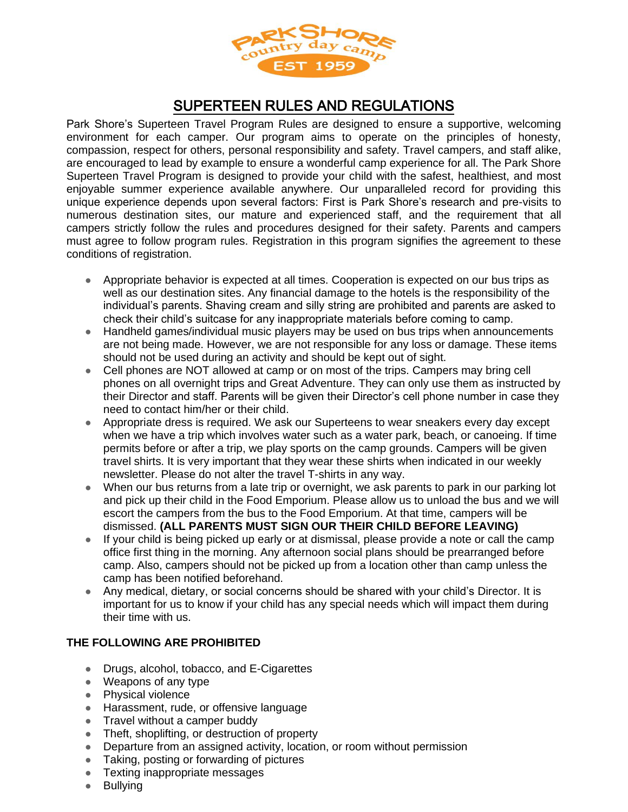

## SUPERTEEN RULES AND REGULATIONS

Park Shore's Superteen Travel Program Rules are designed to ensure a supportive, welcoming environment for each camper. Our program aims to operate on the principles of honesty, compassion, respect for others, personal responsibility and safety. Travel campers, and staff alike, are encouraged to lead by example to ensure a wonderful camp experience for all. The Park Shore Superteen Travel Program is designed to provide your child with the safest, healthiest, and most enjoyable summer experience available anywhere. Our unparalleled record for providing this unique experience depends upon several factors: First is Park Shore's research and pre-visits to numerous destination sites, our mature and experienced staff, and the requirement that all campers strictly follow the rules and procedures designed for their safety. Parents and campers must agree to follow program rules. Registration in this program signifies the agreement to these conditions of registration.

- Appropriate behavior is expected at all times. Cooperation is expected on our bus trips as well as our destination sites. Any financial damage to the hotels is the responsibility of the individual's parents. Shaving cream and silly string are prohibited and parents are asked to check their child's suitcase for any inappropriate materials before coming to camp.
- Handheld games/individual music players may be used on bus trips when announcements are not being made. However, we are not responsible for any loss or damage. These items should not be used during an activity and should be kept out of sight.
- Cell phones are NOT allowed at camp or on most of the trips. Campers may bring cell phones on all overnight trips and Great Adventure. They can only use them as instructed by their Director and staff. Parents will be given their Director's cell phone number in case they need to contact him/her or their child.
- Appropriate dress is required. We ask our Superteens to wear sneakers every day except when we have a trip which involves water such as a water park, beach, or canoeing. If time permits before or after a trip, we play sports on the camp grounds. Campers will be given travel shirts. It is very important that they wear these shirts when indicated in our weekly newsletter. Please do not alter the travel T-shirts in any way.
- When our bus returns from a late trip or overnight, we ask parents to park in our parking lot and pick up their child in the Food Emporium. Please allow us to unload the bus and we will escort the campers from the bus to the Food Emporium. At that time, campers will be dismissed. **(ALL PARENTS MUST SIGN OUR THEIR CHILD BEFORE LEAVING)**
- If your child is being picked up early or at dismissal, please provide a note or call the camp office first thing in the morning. Any afternoon social plans should be prearranged before camp. Also, campers should not be picked up from a location other than camp unless the camp has been notified beforehand.
- Any medical, dietary, or social concerns should be shared with your child's Director. It is important for us to know if your child has any special needs which will impact them during their time with us.

## **THE FOLLOWING ARE PROHIBITED**

- Drugs, alcohol, tobacco, and E-Cigarettes
- Weapons of any type
- Physical violence
- Harassment, rude, or offensive language
- Travel without a camper buddy
- Theft, shoplifting, or destruction of property
- Departure from an assigned activity, location, or room without permission
- Taking, posting or forwarding of pictures
- Texting inappropriate messages
- Bullying